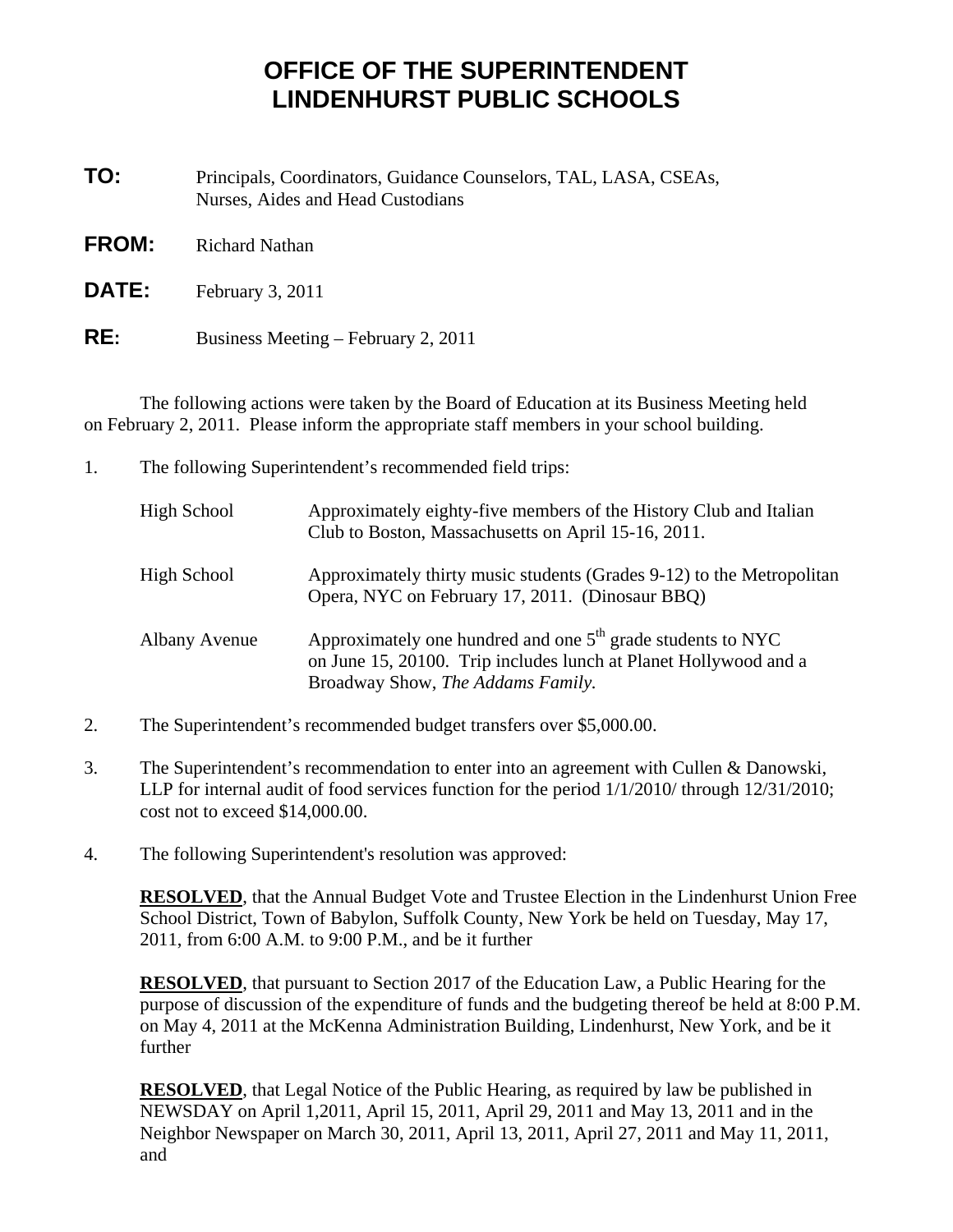## **OFFICE OF THE SUPERINTENDENT LINDENHURST PUBLIC SCHOOLS**

**TO:** Principals, Coordinators, Guidance Counselors, TAL, LASA, CSEAs, Nurses, Aides and Head Custodians

- **FROM:** Richard Nathan
- **DATE:** February 3, 2011
- **RE:** Business Meeting February 2, 2011

 The following actions were taken by the Board of Education at its Business Meeting held on February 2, 2011. Please inform the appropriate staff members in your school building.

1. The following Superintendent's recommended field trips:

| High School |                      | Approximately eighty-five members of the History Club and Italian<br>Club to Boston, Massachusetts on April 15-16, 2011.                                               |
|-------------|----------------------|------------------------------------------------------------------------------------------------------------------------------------------------------------------------|
| High School |                      | Approximately thirty music students (Grades 9-12) to the Metropolitan<br>Opera, NYC on February 17, 2011. (Dinosaur BBQ)                                               |
|             | <b>Albany Avenue</b> | Approximately one hundred and one $5th$ grade students to NYC<br>on June 15, 20100. Trip includes lunch at Planet Hollywood and a<br>Broadway Show, The Addams Family. |

- 2. The Superintendent's recommended budget transfers over \$5,000.00.
- 3. The Superintendent's recommendation to enter into an agreement with Cullen & Danowski, LLP for internal audit of food services function for the period 1/1/2010/ through 12/31/2010; cost not to exceed \$14,000.00.
- 4. The following Superintendent's resolution was approved:

**RESOLVED**, that the Annual Budget Vote and Trustee Election in the Lindenhurst Union Free School District, Town of Babylon, Suffolk County, New York be held on Tuesday, May 17, 2011, from 6:00 A.M. to 9:00 P.M., and be it further

**RESOLVED**, that pursuant to Section 2017 of the Education Law, a Public Hearing for the purpose of discussion of the expenditure of funds and the budgeting thereof be held at 8:00 P.M. on May 4, 2011 at the McKenna Administration Building, Lindenhurst, New York, and be it further

**RESOLVED**, that Legal Notice of the Public Hearing, as required by law be published in NEWSDAY on April 1,2011, April 15, 2011, April 29, 2011 and May 13, 2011 and in the Neighbor Newspaper on March 30, 2011, April 13, 2011, April 27, 2011 and May 11, 2011, and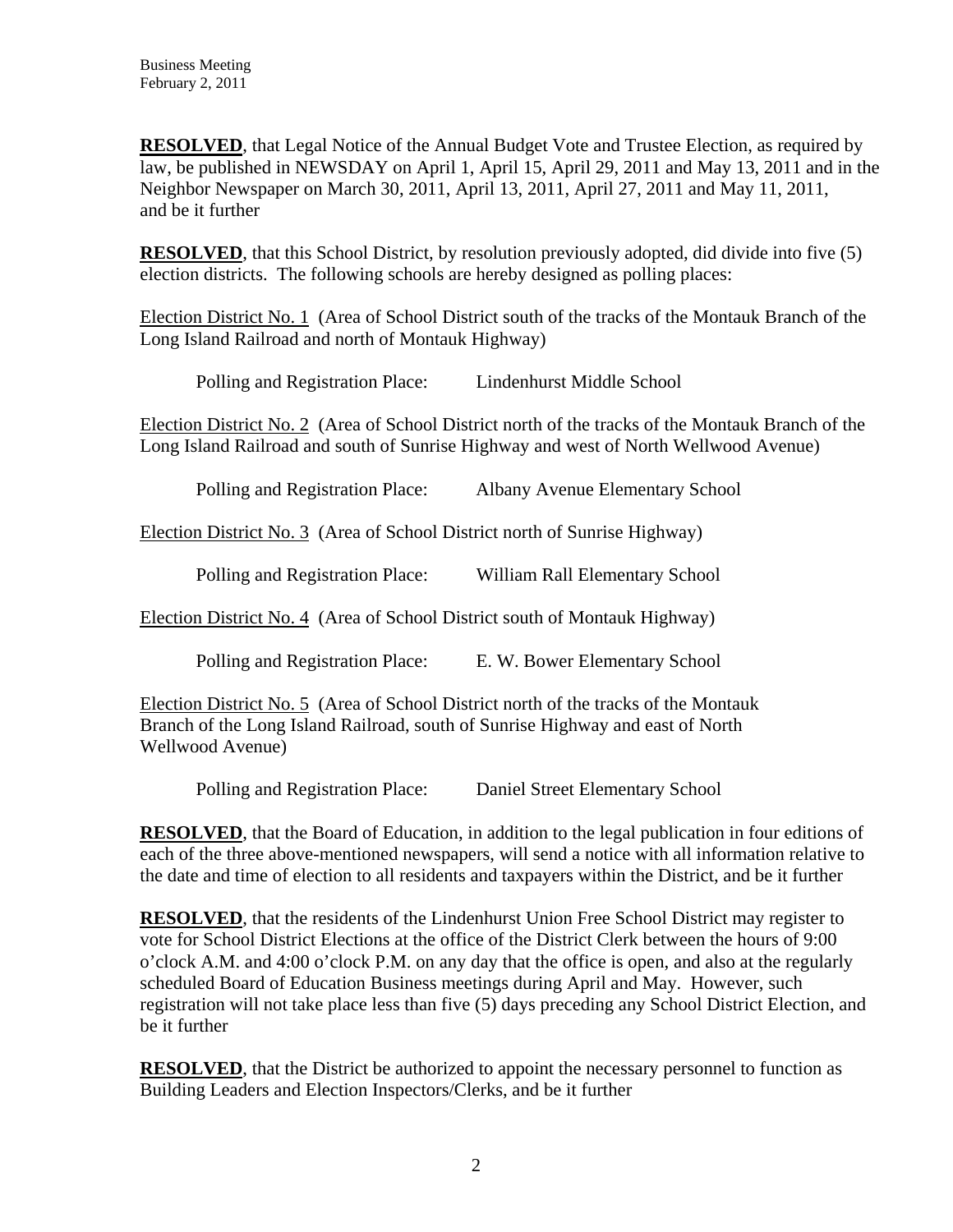**RESOLVED**, that Legal Notice of the Annual Budget Vote and Trustee Election, as required by law, be published in NEWSDAY on April 1, April 15, April 29, 2011 and May 13, 2011 and in the Neighbor Newspaper on March 30, 2011, April 13, 2011, April 27, 2011 and May 11, 2011, and be it further

**RESOLVED**, that this School District, by resolution previously adopted, did divide into five (5) election districts. The following schools are hereby designed as polling places:

Election District No. 1 (Area of School District south of the tracks of the Montauk Branch of the Long Island Railroad and north of Montauk Highway)

Polling and Registration Place: Lindenhurst Middle School

Election District No. 2 (Area of School District north of the tracks of the Montauk Branch of the Long Island Railroad and south of Sunrise Highway and west of North Wellwood Avenue)

| Polling and Registration Place: | Albany Avenue Elementary School                                            |  |  |  |
|---------------------------------|----------------------------------------------------------------------------|--|--|--|
|                                 | Election District No. 3 (Area of School District north of Sunrise Highway) |  |  |  |
| Polling and Registration Place: | William Rall Elementary School                                             |  |  |  |
|                                 | Election District No. 4 (Area of School District south of Montauk Highway) |  |  |  |
| Polling and Registration Place: | E. W. Bower Elementary School                                              |  |  |  |
|                                 |                                                                            |  |  |  |

Election District No. 5 (Area of School District north of the tracks of the Montauk Branch of the Long Island Railroad, south of Sunrise Highway and east of North Wellwood Avenue)

Polling and Registration Place: Daniel Street Elementary School

**RESOLVED**, that the Board of Education, in addition to the legal publication in four editions of each of the three above-mentioned newspapers, will send a notice with all information relative to the date and time of election to all residents and taxpayers within the District, and be it further

**RESOLVED**, that the residents of the Lindenhurst Union Free School District may register to vote for School District Elections at the office of the District Clerk between the hours of 9:00 o'clock A.M. and 4:00 o'clock P.M. on any day that the office is open, and also at the regularly scheduled Board of Education Business meetings during April and May. However, such registration will not take place less than five (5) days preceding any School District Election, and be it further

**RESOLVED**, that the District be authorized to appoint the necessary personnel to function as Building Leaders and Election Inspectors/Clerks, and be it further